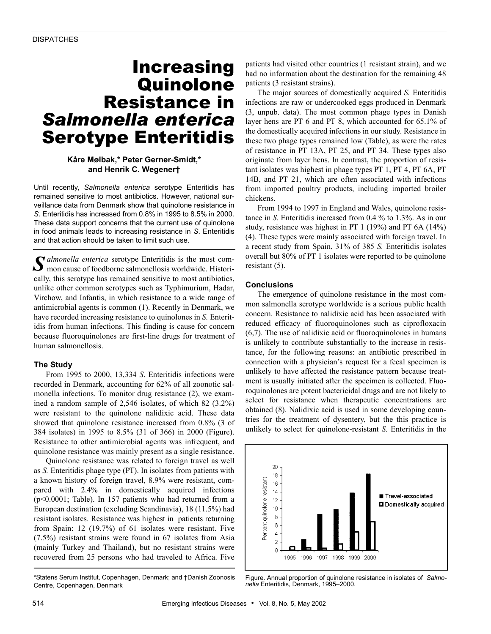# Increasing **Quinolone** Resistance in *Salmonella enterica* Serotype Enteritidis

## **Kåre Mølbak,\* Peter Gerner-Smidt,\* and Henrik C. Wegener†**

Until recently, *Salmonella enterica* serotype Enteritidis has remained sensitive to most antibiotics. However, national surveillance data from Denmark show that quinolone resistance in *S.* Enteritidis has increased from 0.8% in 1995 to 8.5% in 2000. These data support concerns that the current use of quinolone in food animals leads to increasing resistance in *S*. Enteritidis and that action should be taken to limit such use.

*almonella enterica* serotype Enteritidis is the most com- $\int \int$  *almonella enterica* serotype Enteritidis is the most common cause of foodborne salmonellosis worldwide. Historically, this serotype has remained sensitive to most antibiotics, unlike other common serotypes such as Typhimurium, Hadar, Virchow, and Infantis, in which resistance to a wide range of antimicrobial agents is common (1). Recently in Denmark, we have recorded increasing resistance to quinolones in *S.* Enteritidis from human infections. This finding is cause for concern because fluoroquinolones are first-line drugs for treatment of human salmonellosis.

### **The Study**

From 1995 to 2000, 13,334 *S*. Enteritidis infections were recorded in Denmark, accounting for 62% of all zoonotic salmonella infections. To monitor drug resistance (2), we examined a random sample of 2,546 isolates, of which 82 (3.2%) were resistant to the quinolone nalidixic acid. These data showed that quinolone resistance increased from 0.8% (3 of 384 isolates) in 1995 to 8.5% (31 of 366) in 2000 (Figure). Resistance to other antimicrobial agents was infrequent, and quinolone resistance was mainly present as a single resistance.

Quinolone resistance was related to foreign travel as well as *S.* Enteritidis phage type (PT). In isolates from patients with a known history of foreign travel, 8.9% were resistant, compared with 2.4% in domestically acquired infections (p<0.0001; Table). In 157 patients who had returned from a European destination (excluding Scandinavia), 18 (11.5%) had resistant isolates. Resistance was highest in patients returning from Spain: 12 (19.7%) of 61 isolates were resistant. Five (7.5%) resistant strains were found in 67 isolates from Asia (mainly Turkey and Thailand), but no resistant strains were recovered from 25 persons who had traveled to Africa. Five

\*Statens Serum Institut, Copenhagen, Denmark; and †Danish Zoonosis Centre, Copenhagen, Denmark

patients had visited other countries (1 resistant strain), and we had no information about the destination for the remaining 48 patients (3 resistant strains).

The major sources of domestically acquired *S.* Enteritidis infections are raw or undercooked eggs produced in Denmark (3, unpub. data). The most common phage types in Danish layer hens are PT 6 and PT 8, which accounted for 65.1% of the domestically acquired infections in our study. Resistance in these two phage types remained low (Table), as were the rates of resistance in PT 13A, PT 25, and PT 34. These types also originate from layer hens. In contrast, the proportion of resistant isolates was highest in phage types PT 1, PT 4, PT 6A, PT 14B, and PT 21, which are often associated with infections from imported poultry products, including imported broiler chickens.

From 1994 to 1997 in England and Wales, quinolone resistance in *S.* Enteritidis increased from 0.4 % to 1.3%. As in our study, resistance was highest in PT 1 (19%) and PT 6A (14%) (4). These types were mainly associated with foreign travel. In a recent study from Spain, 31% of 385 *S.* Enteritidis isolates overall but 80% of PT 1 isolates were reported to be quinolone resistant (5).

#### **Conclusions**

The emergence of quinolone resistance in the most common salmonella serotype worldwide is a serious public health concern. Resistance to nalidixic acid has been associated with reduced efficacy of fluoroquinolones such as ciprofloxacin (6,7). The use of nalidixic acid or fluoroquinolones in humans is unlikely to contribute substantially to the increase in resistance, for the following reasons: an antibiotic prescribed in connection with a physician's request for a fecal specimen is unlikely to have affected the resistance pattern because treatment is usually initiated after the specimen is collected. Fluoroquinolones are potent bactericidal drugs and are not likely to select for resistance when therapeutic concentrations are obtained (8). Nalidixic acid is used in some developing countries for the treatment of dysentery, but the this practice is unlikely to select for quinolone-resistant *S.* Enteritidis in the



Figure. Annual proportion of quinolone resistance in isolates of *Salmonella* Enteritidis, Denmark, 1995–2000.